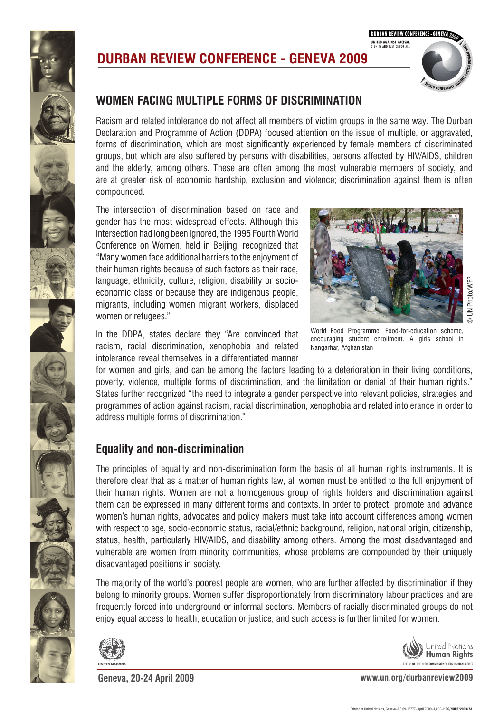

**DURBAN REVIEW CONFERENCE - GENEVA UNITED AGAINST RACISM:**<br>DIGNITY AND JUSTICE FOR ALL

## **DURBAN REVIEW CONFERENCE - GENEVA 2009**



## **WOMEN FACING MULTIPLE FORMS OF DISCRIMINATION**

Racism and related intolerance do not affect all members of victim groups in the same way. The Durban Declaration and Programme of Action (DDPA) focused attention on the issue of multiple, or aggravated, **7.**  forms of discrimination, which are most significantly experienced by female members of discriminated groups, but which are also suffered by persons with disabilities, persons affected by HIV/AIDS, children groups, but which are also surfered by persons with disabilities, persons affected by Hrv/AIDO, children<br>and the elderly, among others. These are often among the most vulnerable members of society, and are at greater risk of economic hardship, exclusion and violence; discrimination against them is often compounded. A motor and internal motor displaced camp, internal light camp, in NORTH KIVU, in NORTH KIVU, Democracy and in<br>Internal light contractic republic of Republic of Republic of Republic of Republic or a contract of Republic o ©Marie Frechon/MONU

The intersection of discrimination based on race and gender has the most widespread effects. Although this intersection had long been ignored, the 1995 Fourth World Conference on Women, held in Beijing, recognized that "Many women face additional barriers to the enjoyment of their human rights because of such factors as their race, language, ethnicity, culture, religion, disability or socioeconomic class or because they are indigenous people, migrants, including women migrant workers, displaced women or refugees."

In the DDPA, states declare they "Are convinced that racism, racial discrimination, xenophobia and related intolerance reveal themselves in a differentiated manner



World Food Programme, Food-for-education scheme, encouraging student enrollment. A girls school in encouraging student<br>Nangarhar, Afghanistan

for women and girls, and can be among the factors leading to a deterioration in their living conditions, poverty, violence, multiple forms of discrimination, and the limitation or denial of their human rights." States further recognized "the need to integrate a gender perspective into relevant policies, strategies and programmes of action against racism, racial discrimination, xenophobia and related intolerance in order to address multiple forms of discrimination."

## **Equality and non-discrimination**

The principles of equality and non-discrimination form the basis of all human rights instruments. It is therefore clear that as a matter of human rights law, all women must be entitled to the full enjoyment of their human rights. Women are not a homogenous group of rights holders and discrimination against them can be expressed in many different forms and contexts. In order to protect, promote and advance women's human rights, advocates and policy makers must take into account differences among women with respect to age, socio-economic status, racial/ethnic background, religion, national origin, citizenship, status, health, particularly HIV/AIDS, and disability among others. Among the most disadvantaged and vulnerable are women from minority communities, whose problems are compounded by their uniquely disadvantaged positions in society.

The majority of the world's poorest people are women, who are further affected by discrimination if they belong to minority groups. Women suffer disproportionately from discriminatory labour practices and are frequently forced into underground or informal sectors. Members of racially discriminated groups do not enjoy equal access to health, education or justice, and such access is further limited for women.



**Geneva, 20-24 April 2009 www.un.org/durbanreview2009**

OFFICE OF THE HIGH COMMISSIONER FOR HUMAN RIGHTS

Jnited Nations **Human Rights**